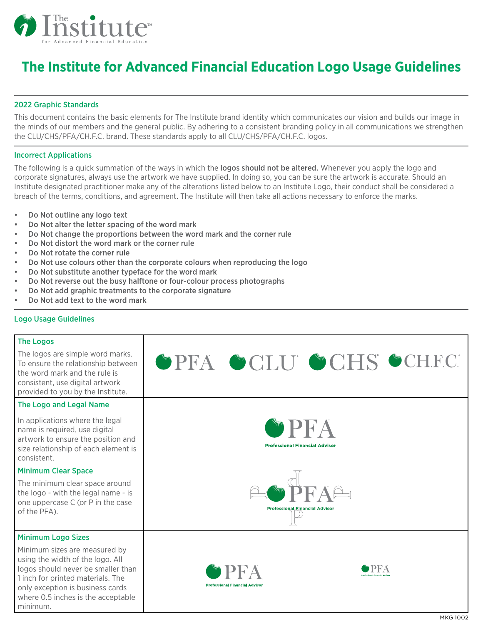

## **The Institute for Advanced Financial Education Logo Usage Guidelines**

#### 2022 Graphic Standards

This document contains the basic elements for The Institute brand identity which communicates our vision and builds our image in the minds of our members and the general public. By adhering to a consistent branding policy in all communications we strengthen the CLU/CHS/PFA/CH.F.C. brand. These standards apply to all CLU/CHS/PFA/CH.F.C. logos.

#### Incorrect Applications

The following is a quick summation of the ways in which the **logos should not be altered.** Whenever you apply the logo and corporate signatures, always use the artwork we have supplied. In doing so, you can be sure the artwork is accurate. Should an Institute designated practitioner make any of the alterations listed below to an Institute Logo, their conduct shall be considered a breach of the terms, conditions, and agreement. The Institute will then take all actions necessary to enforce the marks.

- Do Not outline any logo text
- Do Not alter the letter spacing of the word mark
- Do Not change the proportions between the word mark and the corner rule
- Do Not distort the word mark or the corner rule
- Do Not rotate the corner rule
- Do Not use colours other than the corporate colours when reproducing the logo
- Do Not substitute another typeface for the word mark
- Do Not reverse out the busy halftone or four-colour process photographs
- Do Not add graphic treatments to the corporate signature
- Do Not add text to the word mark

#### Logo Usage Guidelines

| <b>The Logos</b>                                                                                                                                                                                                                   |                                                     |  |
|------------------------------------------------------------------------------------------------------------------------------------------------------------------------------------------------------------------------------------|-----------------------------------------------------|--|
| The logos are simple word marks.<br>To ensure the relationship between<br>the word mark and the rule is<br>consistent, use digital artwork<br>provided to you by the Institute.                                                    | OPFA OCLU OCHS OCHF.C.                              |  |
| The Logo and Legal Name                                                                                                                                                                                                            |                                                     |  |
| In applications where the legal<br>name is required, use digital<br>artwork to ensure the position and<br>size relationship of each element is<br>consistent.                                                                      | <b>PFA</b><br><b>Professional Financial Advisor</b> |  |
| <b>Minimum Clear Space</b>                                                                                                                                                                                                         |                                                     |  |
| The minimum clear space around<br>the logo - with the legal name - is<br>one uppercase C (or P in the case<br>of the PFA).                                                                                                         | <b>Professional Financial Advisor</b>               |  |
| <b>Minimum Logo Sizes</b>                                                                                                                                                                                                          |                                                     |  |
| Minimum sizes are measured by<br>using the width of the logo. All<br>logos should never be smaller than<br>1 inch for printed materials. The<br>only exception is business cards<br>where 0.5 inches is the acceptable<br>minimum. | <b>Professional Financial Advisor</b>               |  |